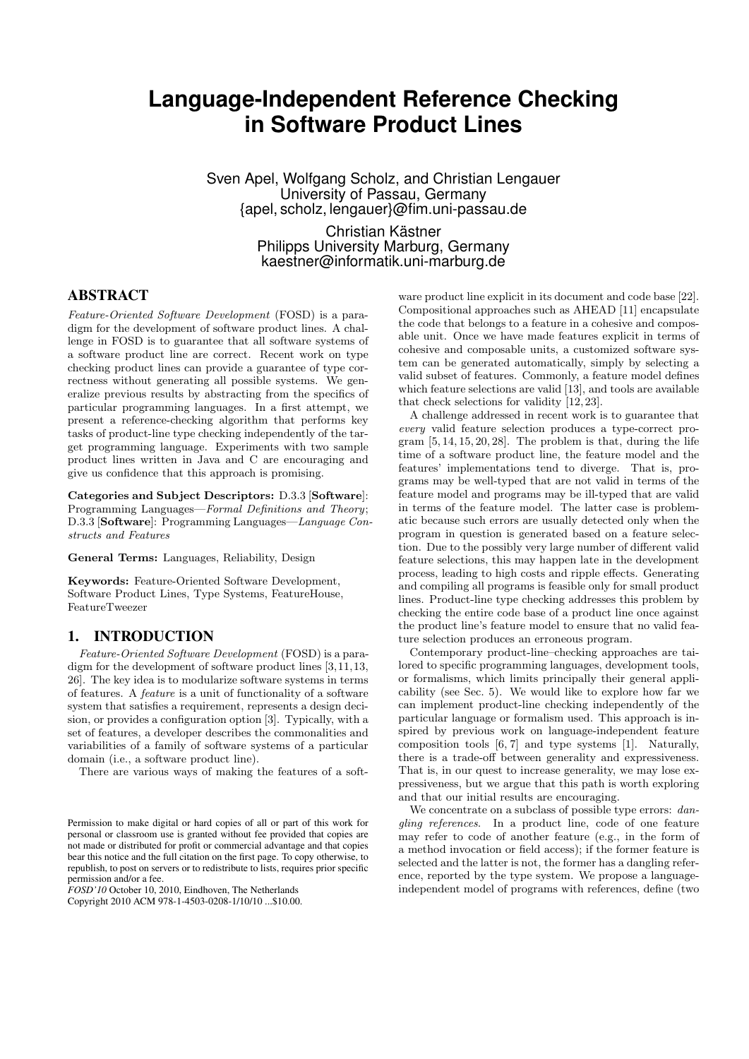# **Language-Independent Reference Checking in Software Product Lines**

Sven Apel, Wolfgang Scholz, and Christian Lengauer University of Passau, Germany {apel, scholz, lengauer}@fim.uni-passau.de

> Christian Kästner Philipps University Marburg, Germany kaestner@informatik.uni-marburg.de

# ABSTRACT

Feature-Oriented Software Development (FOSD) is a paradigm for the development of software product lines. A challenge in FOSD is to guarantee that all software systems of a software product line are correct. Recent work on type checking product lines can provide a guarantee of type correctness without generating all possible systems. We generalize previous results by abstracting from the specifics of particular programming languages. In a first attempt, we present a reference-checking algorithm that performs key tasks of product-line type checking independently of the target programming language. Experiments with two sample product lines written in Java and C are encouraging and give us confidence that this approach is promising.

Categories and Subject Descriptors: D.3.3 [Software]: Programming Languages—Formal Definitions and Theory; D.3.3 [Software]: Programming Languages—Language Constructs and Features

General Terms: Languages, Reliability, Design

Keywords: Feature-Oriented Software Development, Software Product Lines, Type Systems, FeatureHouse, FeatureTweezer

# 1. INTRODUCTION

Feature-Oriented Software Development (FOSD) is a paradigm for the development of software product lines [3,11,13, 26]. The key idea is to modularize software systems in terms of features. A feature is a unit of functionality of a software system that satisfies a requirement, represents a design decision, or provides a configuration option [3]. Typically, with a set of features, a developer describes the commonalities and variabilities of a family of software systems of a particular domain (i.e., a software product line).

There are various ways of making the features of a soft-

*FOSD'10* October 10, 2010, Eindhoven, The Netherlands Copyright 2010 ACM 978-1-4503-0208-1/10/10 ...\$10.00.

ware product line explicit in its document and code base [22]. Compositional approaches such as AHEAD [11] encapsulate the code that belongs to a feature in a cohesive and composable unit. Once we have made features explicit in terms of cohesive and composable units, a customized software system can be generated automatically, simply by selecting a valid subset of features. Commonly, a feature model defines which feature selections are valid [13], and tools are available that check selections for validity [12, 23].

A challenge addressed in recent work is to guarantee that every valid feature selection produces a type-correct program [5, 14, 15, 20, 28]. The problem is that, during the life time of a software product line, the feature model and the features' implementations tend to diverge. That is, programs may be well-typed that are not valid in terms of the feature model and programs may be ill-typed that are valid in terms of the feature model. The latter case is problematic because such errors are usually detected only when the program in question is generated based on a feature selection. Due to the possibly very large number of different valid feature selections, this may happen late in the development process, leading to high costs and ripple effects. Generating and compiling all programs is feasible only for small product lines. Product-line type checking addresses this problem by checking the entire code base of a product line once against the product line's feature model to ensure that no valid feature selection produces an erroneous program.

Contemporary product-line–checking approaches are tailored to specific programming languages, development tools, or formalisms, which limits principally their general applicability (see Sec. 5). We would like to explore how far we can implement product-line checking independently of the particular language or formalism used. This approach is inspired by previous work on language-independent feature composition tools [6, 7] and type systems [1]. Naturally, there is a trade-off between generality and expressiveness. That is, in our quest to increase generality, we may lose expressiveness, but we argue that this path is worth exploring and that our initial results are encouraging.

We concentrate on a subclass of possible type errors:  $dan$ gling references. In a product line, code of one feature may refer to code of another feature (e.g., in the form of a method invocation or field access); if the former feature is selected and the latter is not, the former has a dangling reference, reported by the type system. We propose a languageindependent model of programs with references, define (two

Permission to make digital or hard copies of all or part of this work for personal or classroom use is granted without fee provided that copies are not made or distributed for profit or commercial advantage and that copies bear this notice and the full citation on the first page. To copy otherwise, to republish, to post on servers or to redistribute to lists, requires prior specific permission and/or a fee.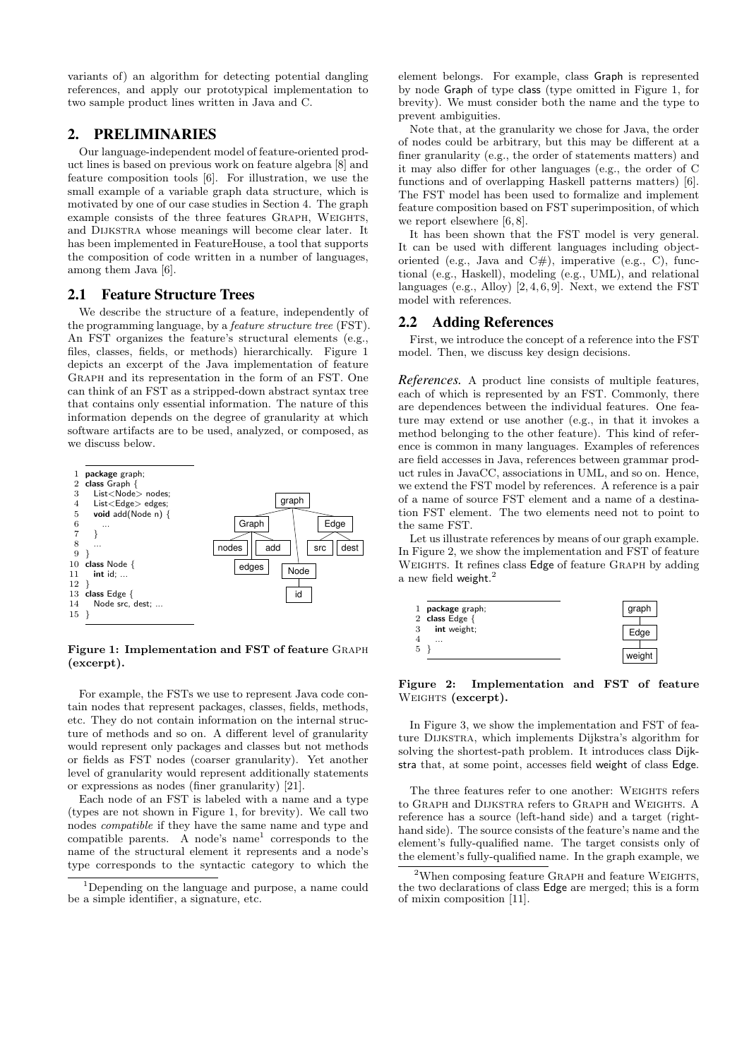variants of) an algorithm for detecting potential dangling references, and apply our prototypical implementation to two sample product lines written in Java and C.

#### 2. PRELIMINARIES

Our language-independent model of feature-oriented product lines is based on previous work on feature algebra [8] and feature composition tools [6]. For illustration, we use the small example of a variable graph data structure, which is motivated by one of our case studies in Section 4. The graph example consists of the three features GRAPH, WEIGHTS, and Dijkstra whose meanings will become clear later. It has been implemented in FeatureHouse, a tool that supports the composition of code written in a number of languages, among them Java [6].

#### 2.1 Feature Structure Trees

We describe the structure of a feature, independently of the programming language, by a feature structure tree (FST). An FST organizes the feature's structural elements (e.g., files, classes, fields, or methods) hierarchically. Figure 1 depicts an excerpt of the Java implementation of feature Graph and its representation in the form of an FST. One can think of an FST as a stripped-down abstract syntax tree that contains only essential information. The nature of this information depends on the degree of granularity at which software artifacts are to be used, analyzed, or composed, as we discuss below.



Figure 1: Implementation and FST of feature Graph (excerpt).

For example, the FSTs we use to represent Java code contain nodes that represent packages, classes, fields, methods, etc. They do not contain information on the internal structure of methods and so on. A different level of granularity would represent only packages and classes but not methods or fields as FST nodes (coarser granularity). Yet another level of granularity would represent additionally statements or expressions as nodes (finer granularity) [21].

Each node of an FST is labeled with a name and a type (types are not shown in Figure 1, for brevity). We call two nodes compatible if they have the same name and type and compatible parents. A node's name<sup>1</sup> corresponds to the name of the structural element it represents and a node's type corresponds to the syntactic category to which the

element belongs. For example, class Graph is represented by node Graph of type class (type omitted in Figure 1, for brevity). We must consider both the name and the type to prevent ambiguities.

Note that, at the granularity we chose for Java, the order of nodes could be arbitrary, but this may be different at a finer granularity (e.g., the order of statements matters) and it may also differ for other languages (e.g., the order of C functions and of overlapping Haskell patterns matters) [6]. The FST model has been used to formalize and implement feature composition based on FST superimposition, of which we report elsewhere [6, 8].

It has been shown that the FST model is very general. It can be used with different languages including objectoriented (e.g., Java and  $C#$ ), imperative (e.g., C), functional (e.g., Haskell), modeling (e.g., UML), and relational languages (e.g., Alloy)  $[2, 4, 6, 9]$ . Next, we extend the FST model with references.

#### 2.2 Adding References

First, we introduce the concept of a reference into the FST model. Then, we discuss key design decisions.

*References.* A product line consists of multiple features, each of which is represented by an FST. Commonly, there are dependences between the individual features. One feature may extend or use another (e.g., in that it invokes a method belonging to the other feature). This kind of reference is common in many languages. Examples of references are field accesses in Java, references between grammar product rules in JavaCC, associations in UML, and so on. Hence, we extend the FST model by references. A reference is a pair of a name of source FST element and a name of a destination FST element. The two elements need not to point to the same FST.

Let us illustrate references by means of our graph example. In Figure 2, we show the implementation and FST of feature WEIGHTS. It refines class Edge of feature GRAPH by adding a new field weight.<sup>2</sup>



Figure 2: Implementation and FST of feature WEIGHTS (excerpt).

In Figure 3, we show the implementation and FST of feature Dijkstra, which implements Dijkstra's algorithm for solving the shortest-path problem. It introduces class Dijkstra that, at some point, accesses field weight of class Edge.

The three features refer to one another: WEIGHTS refers to Graph and Dijkstra refers to Graph and Weights. A reference has a source (left-hand side) and a target (righthand side). The source consists of the feature's name and the element's fully-qualified name. The target consists only of the element's fully-qualified name. In the graph example, we

<sup>&</sup>lt;sup>1</sup>Depending on the language and purpose, a name could be a simple identifier, a signature, etc.

 $2$ When composing feature GRAPH and feature WEIGHTS, the two declarations of class Edge are merged; this is a form of mixin composition [11].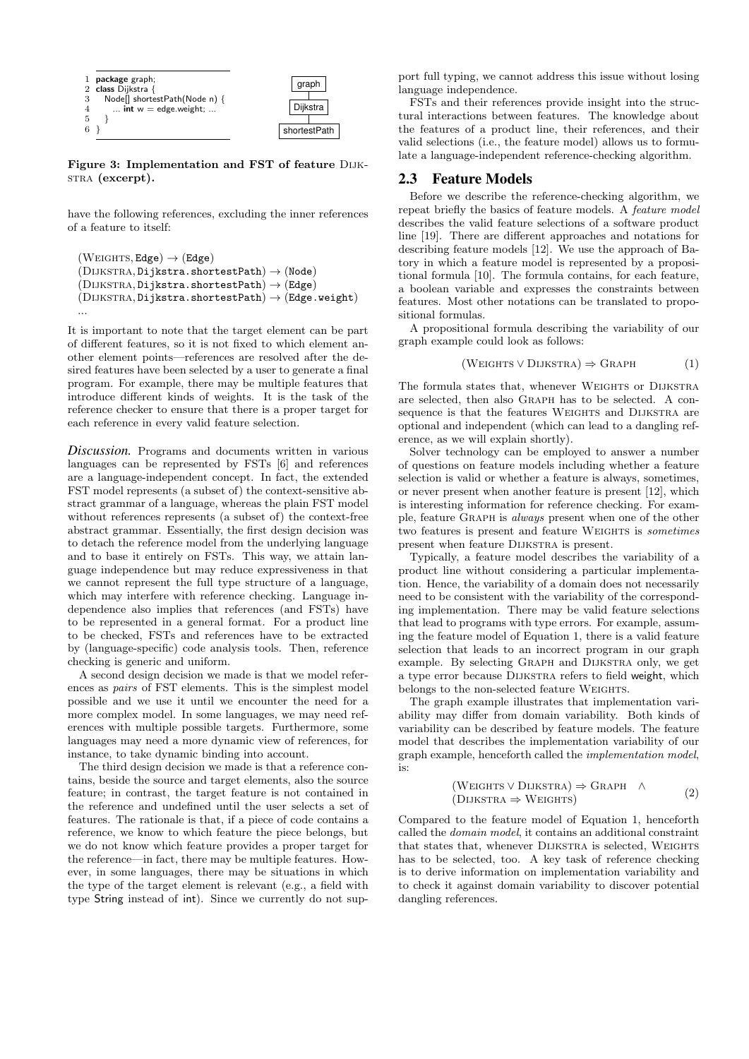

Figure 3: Implementation and FST of feature Dijk-STRA (excerpt).

have the following references, excluding the inner references of a feature to itself:

```
(WEIGHTS, Edge) \rightarrow (Edge)(DIJKSTRA, Dijkstra.shortestPath) \rightarrow (Node)(DIJKSTRA, Dijkstra.shortestPath) \rightarrow (Edge)(DIJKSTRA, Dijkstra.shortestPath) \rightarrow (Edge-weight)...
```
It is important to note that the target element can be part of different features, so it is not fixed to which element another element points—references are resolved after the desired features have been selected by a user to generate a final program. For example, there may be multiple features that introduce different kinds of weights. It is the task of the reference checker to ensure that there is a proper target for each reference in every valid feature selection.

*Discussion.* Programs and documents written in various languages can be represented by FSTs [6] and references are a language-independent concept. In fact, the extended FST model represents (a subset of) the context-sensitive abstract grammar of a language, whereas the plain FST model without references represents (a subset of) the context-free abstract grammar. Essentially, the first design decision was to detach the reference model from the underlying language and to base it entirely on FSTs. This way, we attain language independence but may reduce expressiveness in that we cannot represent the full type structure of a language, which may interfere with reference checking. Language independence also implies that references (and FSTs) have to be represented in a general format. For a product line to be checked, FSTs and references have to be extracted by (language-specific) code analysis tools. Then, reference checking is generic and uniform.

A second design decision we made is that we model references as pairs of FST elements. This is the simplest model possible and we use it until we encounter the need for a more complex model. In some languages, we may need references with multiple possible targets. Furthermore, some languages may need a more dynamic view of references, for instance, to take dynamic binding into account.

The third design decision we made is that a reference contains, beside the source and target elements, also the source feature; in contrast, the target feature is not contained in the reference and undefined until the user selects a set of features. The rationale is that, if a piece of code contains a reference, we know to which feature the piece belongs, but we do not know which feature provides a proper target for the reference—in fact, there may be multiple features. However, in some languages, there may be situations in which the type of the target element is relevant (e.g., a field with type String instead of int). Since we currently do not support full typing, we cannot address this issue without losing language independence.

FSTs and their references provide insight into the structural interactions between features. The knowledge about the features of a product line, their references, and their valid selections (i.e., the feature model) allows us to formulate a language-independent reference-checking algorithm.

# 2.3 Feature Models

Before we describe the reference-checking algorithm, we repeat briefly the basics of feature models. A feature model describes the valid feature selections of a software product line [19]. There are different approaches and notations for describing feature models [12]. We use the approach of Batory in which a feature model is represented by a propositional formula [10]. The formula contains, for each feature, a boolean variable and expresses the constraints between features. Most other notations can be translated to propositional formulas.

A propositional formula describing the variability of our graph example could look as follows:

$$
(WEIGHTS \lor DIJKSTRA) \Rightarrow GRAPH
$$
 (1)

The formula states that, whenever WEIGHTS or DIJKSTRA are selected, then also Graph has to be selected. A consequence is that the features WEIGHTS and DIJKSTRA are optional and independent (which can lead to a dangling reference, as we will explain shortly).

Solver technology can be employed to answer a number of questions on feature models including whether a feature selection is valid or whether a feature is always, sometimes, or never present when another feature is present [12], which is interesting information for reference checking. For example, feature GRAPH is *always* present when one of the other two features is present and feature WEIGHTS is *sometimes* present when feature Dijkstra is present.

Typically, a feature model describes the variability of a product line without considering a particular implementation. Hence, the variability of a domain does not necessarily need to be consistent with the variability of the corresponding implementation. There may be valid feature selections that lead to programs with type errors. For example, assuming the feature model of Equation 1, there is a valid feature selection that leads to an incorrect program in our graph example. By selecting Graph and Dijkstra only, we get a type error because DIJKSTRA refers to field weight, which belongs to the non-selected feature WEIGHTS.

The graph example illustrates that implementation variability may differ from domain variability. Both kinds of variability can be described by feature models. The feature model that describes the implementation variability of our graph example, henceforth called the implementation model, is:

$$
(WEIGHTS \lor DIJKSTRA) \Rightarrow GRAPH \land (DIJKSTRA \Rightarrow WEGHTS)
$$
\n(2)

Compared to the feature model of Equation 1, henceforth called the domain model, it contains an additional constraint that states that, whenever DIJKSTRA is selected, WEIGHTS has to be selected, too. A key task of reference checking is to derive information on implementation variability and to check it against domain variability to discover potential dangling references.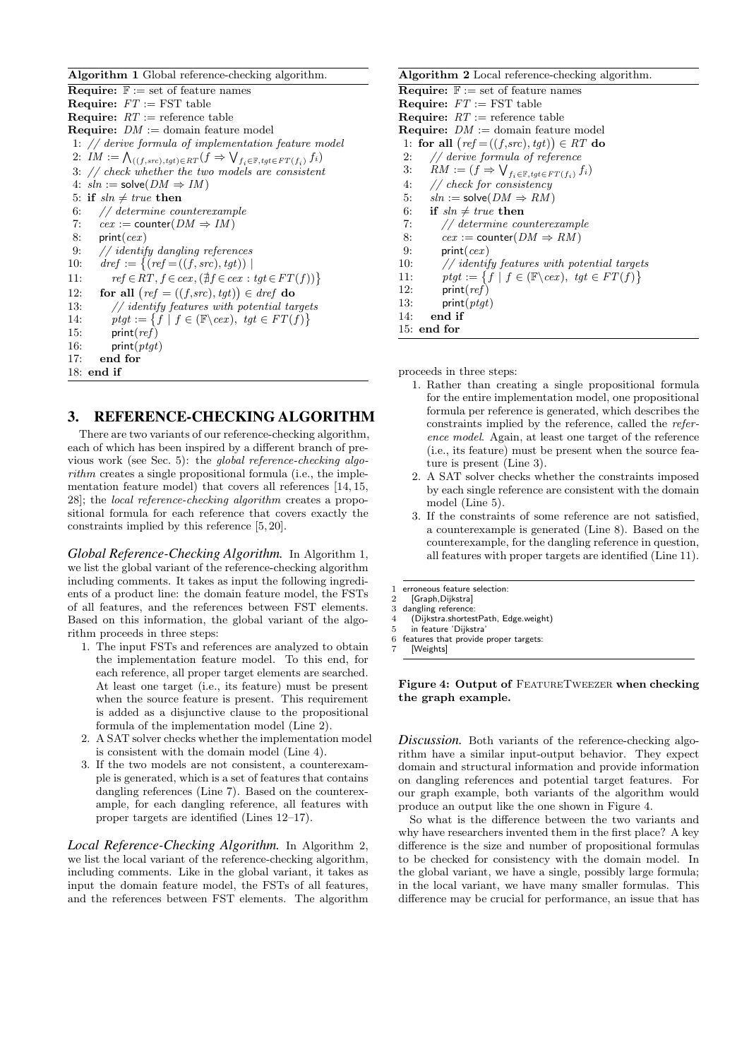Algorithm 1 Global reference-checking algorithm. **Require:**  $\mathbb{F} := \text{set of feature names}$ **Require:**  $FT := FST$  table **Require:**  $RT$  := reference table **Require:**  $DM :=$  domain feature model 1: // derive formula of implementation feature model 2:  $IM := \bigwedge_{((f,src),tgt) \in RT} (f \Rightarrow \bigvee_{f_i \in \mathbb{F}, ty \in FT(f_i)} f_i)$ 3: // check whether the two models are consistent 4:  $sln :=$  solve $(DM \Rightarrow IM)$ 5: if  $\sin \neq \text{true}$  then 6: // determine counterexample 7:  $cex := \text{counter}(DM \Rightarrow IM)$ 8: print $(ex)$ 9: // identify dangling references 10:  $\det f := \{ (ref = ((f, src), tg)) \mid$ 11:  $ref \in RT, f \in cex, (\nexists f \in cex : tgt \in FT(f))$ 12: for all  $(ref = ((f, src), tgt)) \in dref$  do 13: // identify features with potential targets 14:  $ptg:=\{f \mid f \in (\mathbb{F}\backslash cex), tgt \in FT(f)\}\$ 15: print $(\text{ref})$ 16:  $\text{print}(ptgt)$ 17: end for 18: end if

# 3. REFERENCE-CHECKING ALGORITHM

There are two variants of our reference-checking algorithm, each of which has been inspired by a different branch of previous work (see Sec. 5): the global reference-checking algorithm creates a single propositional formula (i.e., the implementation feature model) that covers all references [14, 15, 28]; the local reference-checking algorithm creates a propositional formula for each reference that covers exactly the constraints implied by this reference [5, 20].

*Global Reference-Checking Algorithm.* In Algorithm 1, we list the global variant of the reference-checking algorithm including comments. It takes as input the following ingredients of a product line: the domain feature model, the FSTs of all features, and the references between FST elements. Based on this information, the global variant of the algorithm proceeds in three steps:

- 1. The input FSTs and references are analyzed to obtain the implementation feature model. To this end, for each reference, all proper target elements are searched. At least one target (i.e., its feature) must be present when the source feature is present. This requirement is added as a disjunctive clause to the propositional formula of the implementation model (Line 2).
- 2. A SAT solver checks whether the implementation model is consistent with the domain model (Line 4).
- 3. If the two models are not consistent, a counterexample is generated, which is a set of features that contains dangling references (Line 7). Based on the counterexample, for each dangling reference, all features with proper targets are identified (Lines 12–17).

*Local Reference-Checking Algorithm.* In Algorithm 2, we list the local variant of the reference-checking algorithm, including comments. Like in the global variant, it takes as input the domain feature model, the FSTs of all features, and the references between FST elements. The algorithm

# Algorithm 2 Local reference-checking algorithm.

**Require:**  $\mathbb{F} := \text{set of feature names}$ **Require:**  $FT := FST$  table **Require:**  $RT$  := reference table **Require:**  $DM :=$  domain feature model 1: for all  $(ref = ((f,src), tyt)) \in RT$  do 2: // derive formula of reference 3:  $RM := (f \Rightarrow \bigvee_{f_i \in \mathbb{F}, tgt \in FT(f_i)} f_i)$ 4: // check for consistency 5:  $\sin := \text{solve}(DM \Rightarrow RM)$ 6: if  $\sin \neq \text{true}$  then 7: // determine counterexample 8:  $cex := \text{counter}(DM \Rightarrow RM)$ 9: print $(ex)$ 10: // identify features with potential targets 11:  $ptgt := \{f \mid f \in (\mathbb{F}\backslash cex), \; tyt \in FT(f)\}\$ 12: print $(ref)$ 13:  $print(ptqt)$ 14: end if 15: end for

proceeds in three steps:

- 1. Rather than creating a single propositional formula for the entire implementation model, one propositional formula per reference is generated, which describes the constraints implied by the reference, called the reference model. Again, at least one target of the reference (i.e., its feature) must be present when the source feature is present (Line 3).
- 2. A SAT solver checks whether the constraints imposed by each single reference are consistent with the domain model (Line 5).
- 3. If the constraints of some reference are not satisfied, a counterexample is generated (Line 8). Based on the counterexample, for the dangling reference in question, all features with proper targets are identified (Line 11).

1 erroneous feature selection:<br>2 [Graph Diikstra]

2 [Graph, Dijkstra]<br>3 dangling reference dangling reference

4 (Dijkstra.shortestPath, Edge.weight)

5 in feature 'Dijkstra'

6 features that provide proper targets: [Weights]

Figure 4: Output of FEATURETWEEZER when checking the graph example.

*Discussion.* Both variants of the reference-checking algorithm have a similar input-output behavior. They expect domain and structural information and provide information on dangling references and potential target features. For our graph example, both variants of the algorithm would produce an output like the one shown in Figure 4.

So what is the difference between the two variants and why have researchers invented them in the first place? A key difference is the size and number of propositional formulas to be checked for consistency with the domain model. In the global variant, we have a single, possibly large formula; in the local variant, we have many smaller formulas. This difference may be crucial for performance, an issue that has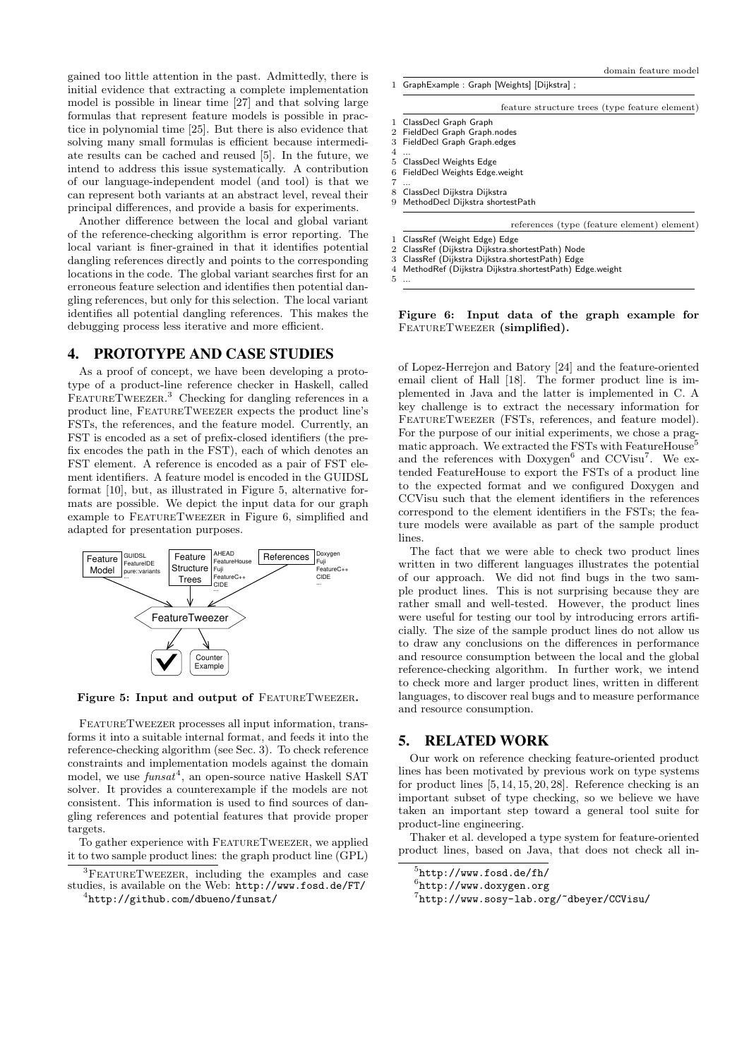gained too little attention in the past. Admittedly, there is initial evidence that extracting a complete implementation model is possible in linear time [27] and that solving large formulas that represent feature models is possible in practice in polynomial time [25]. But there is also evidence that solving many small formulas is efficient because intermediate results can be cached and reused [5]. In the future, we intend to address this issue systematically. A contribution of our language-independent model (and tool) is that we can represent both variants at an abstract level, reveal their principal differences, and provide a basis for experiments.

Another difference between the local and global variant of the reference-checking algorithm is error reporting. The local variant is finer-grained in that it identifies potential dangling references directly and points to the corresponding locations in the code. The global variant searches first for an erroneous feature selection and identifies then potential dangling references, but only for this selection. The local variant identifies all potential dangling references. This makes the debugging process less iterative and more efficient.

## 4. PROTOTYPE AND CASE STUDIES

As a proof of concept, we have been developing a prototype of a product-line reference checker in Haskell, called FEATURETWEEZER.<sup>3</sup> Checking for dangling references in a product line, FeatureTweezer expects the product line's FSTs, the references, and the feature model. Currently, an FST is encoded as a set of prefix-closed identifiers (the prefix encodes the path in the FST), each of which denotes an FST element. A reference is encoded as a pair of FST element identifiers. A feature model is encoded in the GUIDSL format [10], but, as illustrated in Figure 5, alternative formats are possible. We depict the input data for our graph example to FeatureTweezer in Figure 6, simplified and adapted for presentation purposes.



Figure 5: Input and output of FEATURETWEEZER.

FEATURETWEEZER processes all input information, transforms it into a suitable internal format, and feeds it into the reference-checking algorithm (see Sec. 3). To check reference constraints and implementation models against the domain model, we use  $funsat^4$ , an open-source native Haskell SAT solver. It provides a counterexample if the models are not consistent. This information is used to find sources of dangling references and potential features that provide proper targets.

To gather experience with FeatureTweezer, we applied it to two sample product lines: the graph product line (GPL)

domain feature model

- 1 GraphExample : Graph [Weights] [Dijkstra] ;
	- feature structure trees (type feature element)
- 1 ClassDecl Graph Graph<br>2 FieldDecl Graph Graph
- 2 FieldDecl Graph Graph.nodes<br>3 FieldDecl Graph Graph.edges FieldDecl Graph Graph.edges
- $\frac{4}{5}$
- 5 ClassDecl Weights Edge<br>6 FieldDecl Weights Edge
- FieldDecl Weights Edge.weight
- 7 ... 8 ClassDecl Dijkstra Dijkstra
- 9 MethodDecl Dijkstra shortestPath
	- references (type (feature element) element)
- 1 ClassRef (Weight Edge) Edge
- 2 ClassRef (Dijkstra Dijkstra.shortestPath) Node
- 3 ClassRef (Dijkstra Dijkstra.shortestPath) Edge 4 MethodRef (Dijkstra Dijkstra.shortestPath) Edge.weight
- 5 ...

#### Figure 6: Input data of the graph example for FEATURETWEEZER (simplified).

of Lopez-Herrejon and Batory [24] and the feature-oriented email client of Hall [18]. The former product line is implemented in Java and the latter is implemented in C. A key challenge is to extract the necessary information for FeatureTweezer (FSTs, references, and feature model). For the purpose of our initial experiments, we chose a pragmatic approach. We extracted the FSTs with FeatureHouse<sup>5</sup> and the references with  $Doxygen^6$  and  $CCVisu^7$ . We extended FeatureHouse to export the FSTs of a product line to the expected format and we configured Doxygen and CCVisu such that the element identifiers in the references correspond to the element identifiers in the FSTs; the feature models were available as part of the sample product lines.

The fact that we were able to check two product lines written in two different languages illustrates the potential of our approach. We did not find bugs in the two sample product lines. This is not surprising because they are rather small and well-tested. However, the product lines were useful for testing our tool by introducing errors artificially. The size of the sample product lines do not allow us to draw any conclusions on the differences in performance and resource consumption between the local and the global reference-checking algorithm. In further work, we intend to check more and larger product lines, written in different languages, to discover real bugs and to measure performance and resource consumption.

#### 5. RELATED WORK

Our work on reference checking feature-oriented product lines has been motivated by previous work on type systems for product lines [5, 14, 15, 20, 28]. Reference checking is an important subset of type checking, so we believe we have taken an important step toward a general tool suite for product-line engineering.

Thaker et al. developed a type system for feature-oriented product lines, based on Java, that does not check all in-

<sup>&</sup>lt;sup>3</sup>FEATURETWEEZER, including the examples and case studies, is available on the Web: http://www.fosd.de/FT/

<sup>4</sup> http://github.com/dbueno/funsat/

 $5$ http://www.fosd.de/fh/

<sup>6</sup> http://www.doxygen.org

<sup>7</sup> http://www.sosy-lab.org/~dbeyer/CCVisu/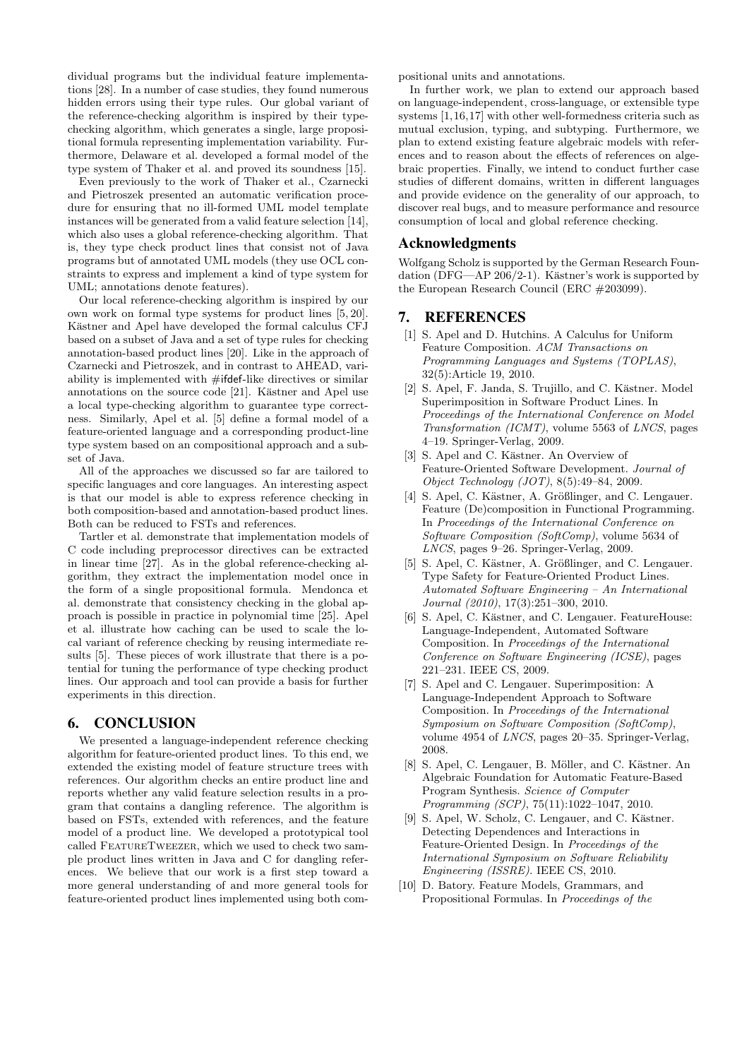dividual programs but the individual feature implementations [28]. In a number of case studies, they found numerous hidden errors using their type rules. Our global variant of the reference-checking algorithm is inspired by their typechecking algorithm, which generates a single, large propositional formula representing implementation variability. Furthermore, Delaware et al. developed a formal model of the type system of Thaker et al. and proved its soundness [15].

Even previously to the work of Thaker et al., Czarnecki and Pietroszek presented an automatic verification procedure for ensuring that no ill-formed UML model template instances will be generated from a valid feature selection [14], which also uses a global reference-checking algorithm. That is, they type check product lines that consist not of Java programs but of annotated UML models (they use OCL constraints to express and implement a kind of type system for UML; annotations denote features).

Our local reference-checking algorithm is inspired by our own work on formal type systems for product lines [5, 20]. Kästner and Apel have developed the formal calculus CFJ based on a subset of Java and a set of type rules for checking annotation-based product lines [20]. Like in the approach of Czarnecki and Pietroszek, and in contrast to AHEAD, variability is implemented with  $\#$ ifdef-like directives or similar annotations on the source code  $[21]$ . Kästner and Apel use a local type-checking algorithm to guarantee type correctness. Similarly, Apel et al. [5] define a formal model of a feature-oriented language and a corresponding product-line type system based on an compositional approach and a subset of Java.

All of the approaches we discussed so far are tailored to specific languages and core languages. An interesting aspect is that our model is able to express reference checking in both composition-based and annotation-based product lines. Both can be reduced to FSTs and references.

Tartler et al. demonstrate that implementation models of C code including preprocessor directives can be extracted in linear time [27]. As in the global reference-checking algorithm, they extract the implementation model once in the form of a single propositional formula. Mendonca et al. demonstrate that consistency checking in the global approach is possible in practice in polynomial time [25]. Apel et al. illustrate how caching can be used to scale the local variant of reference checking by reusing intermediate results [5]. These pieces of work illustrate that there is a potential for tuning the performance of type checking product lines. Our approach and tool can provide a basis for further experiments in this direction.

# 6. CONCLUSION

We presented a language-independent reference checking algorithm for feature-oriented product lines. To this end, we extended the existing model of feature structure trees with references. Our algorithm checks an entire product line and reports whether any valid feature selection results in a program that contains a dangling reference. The algorithm is based on FSTs, extended with references, and the feature model of a product line. We developed a prototypical tool called FeatureTweezer, which we used to check two sample product lines written in Java and C for dangling references. We believe that our work is a first step toward a more general understanding of and more general tools for feature-oriented product lines implemented using both compositional units and annotations.

In further work, we plan to extend our approach based on language-independent, cross-language, or extensible type systems [1,16,17] with other well-formedness criteria such as mutual exclusion, typing, and subtyping. Furthermore, we plan to extend existing feature algebraic models with references and to reason about the effects of references on algebraic properties. Finally, we intend to conduct further case studies of different domains, written in different languages and provide evidence on the generality of our approach, to discover real bugs, and to measure performance and resource consumption of local and global reference checking.

#### Acknowledgments

Wolfgang Scholz is supported by the German Research Foundation (DFG—AP 206/2-1). Kästner's work is supported by the European Research Council (ERC #203099).

## 7. REFERENCES

- [1] S. Apel and D. Hutchins. A Calculus for Uniform Feature Composition. ACM Transactions on Programming Languages and Systems (TOPLAS), 32(5):Article 19, 2010.
- [2] S. Apel, F. Janda, S. Trujillo, and C. Kästner. Model Superimposition in Software Product Lines. In Proceedings of the International Conference on Model Transformation (ICMT), volume 5563 of LNCS, pages 4–19. Springer-Verlag, 2009.
- [3] S. Apel and C. Kästner. An Overview of Feature-Oriented Software Development. Journal of Object Technology (JOT), 8(5):49–84, 2009.
- [4] S. Apel, C. Kästner, A. Größlinger, and C. Lengauer. Feature (De)composition in Functional Programming. In Proceedings of the International Conference on Software Composition (SoftComp), volume 5634 of LNCS, pages 9–26. Springer-Verlag, 2009.
- [5] S. Apel, C. Kästner, A. Größlinger, and C. Lengauer. Type Safety for Feature-Oriented Product Lines. Automated Software Engineering – An International Journal (2010), 17(3):251–300, 2010.
- [6] S. Apel, C. Kästner, and C. Lengauer. FeatureHouse: Language-Independent, Automated Software Composition. In Proceedings of the International Conference on Software Engineering (ICSE), pages 221–231. IEEE CS, 2009.
- [7] S. Apel and C. Lengauer. Superimposition: A Language-Independent Approach to Software Composition. In Proceedings of the International Symposium on Software Composition (SoftComp), volume 4954 of LNCS, pages 20–35. Springer-Verlag, 2008.
- [8] S. Apel, C. Lengauer, B. Möller, and C. Kästner. An Algebraic Foundation for Automatic Feature-Based Program Synthesis. Science of Computer Programming (SCP), 75(11):1022–1047, 2010.
- [9] S. Apel, W. Scholz, C. Lengauer, and C. Kästner. Detecting Dependences and Interactions in Feature-Oriented Design. In Proceedings of the International Symposium on Software Reliability Engineering (ISSRE). IEEE CS, 2010.
- [10] D. Batory. Feature Models, Grammars, and Propositional Formulas. In Proceedings of the